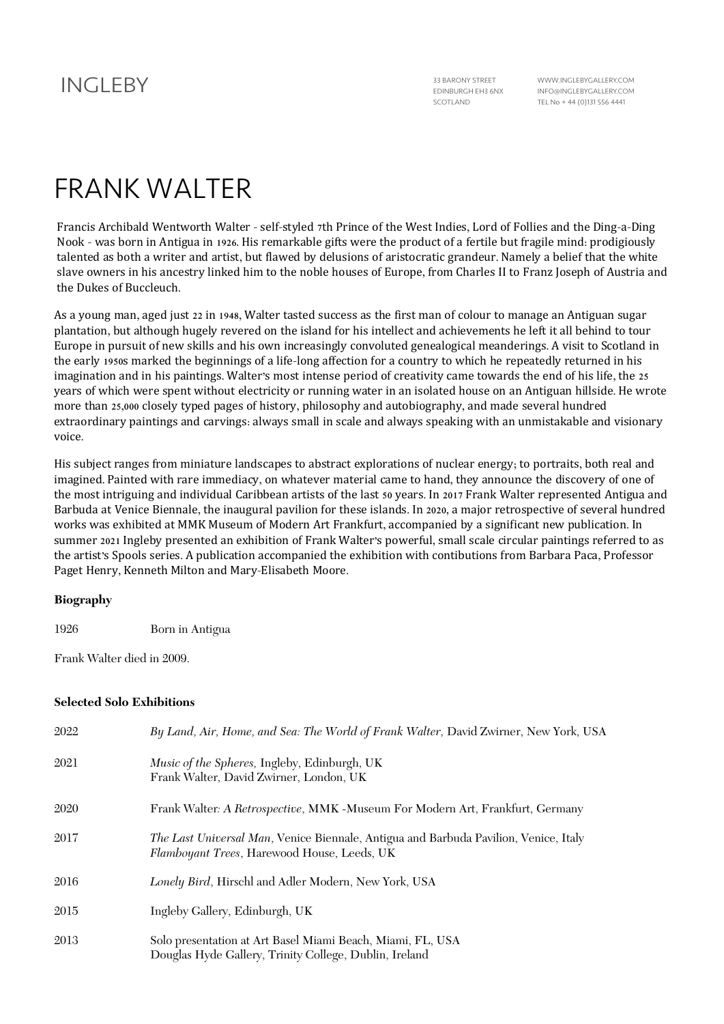## INGI FRY 33 BARONY STREET

EDINBURGH EH3 6NX SCOTLAND

WWW.INGLEBYGALLERY.COM INFO@INGLEBYGALLERY.COM TEL No + 44 (0)131 556 4441

# FRANK WALTER

Francis Archibald Wentworth Walter - self-styled 7th Prince of the West Indies, Lord of Follies and the Ding-a-Ding Nook - was born in Antigua in 1926. His remarkable gifts were the product of a fertile but fragile mind: prodigiously talented as both a writer and artist, but flawed by delusions of aristocratic grandeur. Namely a belief that the white slave owners in his ancestry linked him to the noble houses of Europe, from Charles II to Franz Joseph of Austria and the Dukes of Buccleuch.

As a young man, aged just 22 in 1948, Walter tasted success as the first man of colour to manage an Antiguan sugar plantation, but although hugely revered on the island for his intellect and achievements he left it all behind to tour Europe in pursuit of new skills and his own increasingly convoluted genealogical meanderings. A visit to Scotland in the early 1950s marked the beginnings of a life-long affection for a country to which he repeatedly returned in his imagination and in his paintings. Walter's most intense period of creativity came towards the end of his life, the 25 years of which were spent without electricity or running water in an isolated house on an Antiguan hillside. He wrote more than 25,000 closely typed pages of history, philosophy and autobiography, and made several hundred extraordinary paintings and carvings: always small in scale and always speaking with an unmistakable and visionary voice.

His subject ranges from miniature landscapes to abstract explorations of nuclear energy; to portraits, both real and imagined. Painted with rare immediacy, on whatever material came to hand, they announce the discovery of one of the most intriguing and individual Caribbean artists of the last 50 years. In 2017 Frank Walter represented Antigua and Barbuda at Venice Biennale, the inaugural pavilion for these islands. In 2020, a major retrospective of several hundred works was exhibited at MMK Museum of Modern Art Frankfurt, accompanied by a significant new publication. In summer 2021 Ingleby presented an exhibition of Frank Walter's powerful, small scale circular paintings referred to as the artist's Spools series. A publication accompanied the exhibition with contibutions from Barbara Paca, Professor Paget Henry, Kenneth Milton and Mary-Elisabeth Moore.

#### **Biography**

1926 Born in Antigua

Frank Walter died in 2009.

#### **Selected Solo Exhibitions**

| 2022 | By Land, Air, Home, and Sea: The World of Frank Walter, David Zwirner, New York, USA                                                |
|------|-------------------------------------------------------------------------------------------------------------------------------------|
| 2021 | Music of the Spheres, Ingleby, Edinburgh, UK<br>Frank Walter, David Zwirner, London, UK                                             |
| 2020 | Frank Walter: A Retrospective, MMK -Museum For Modern Art, Frankfurt, Germany                                                       |
| 2017 | The Last Universal Man, Venice Biennale, Antigua and Barbuda Pavilion, Venice, Italy<br>Flamboyant Trees, Harewood House, Leeds, UK |
| 2016 | Lonely Bird, Hirschl and Adler Modern, New York, USA                                                                                |
| 2015 | Ingleby Gallery, Edinburgh, UK                                                                                                      |
| 2013 | Solo presentation at Art Basel Miami Beach, Miami, FL, USA<br>Douglas Hyde Gallery, Trinity College, Dublin, Ireland                |